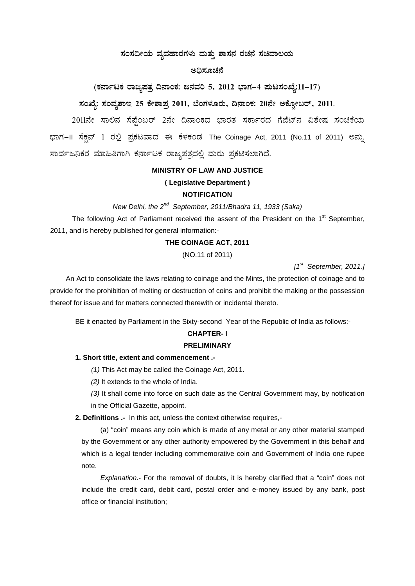# $\pi$ ಹಂಸದೀಯ ವ್ಯವಹಾರಗಳು ಮತ್ತು ಶಾಸನ ರಚನೆ ಸಚಿವಾಲಯ

#### ಅದಿಸೂಚನೆ

# (ಕರ್ನಾಟಕ ರಾಜ್ಯಪತ್ರ ದಿನಾಂಕ: ಜನವರಿ 5, 2012 ಭಾಗ–4 **ಪುಟಸಂಖ್ಯೆ:11–17**)

# ಸಂಖ್ಯೆ: ಸಂವ್ಮಶಾಇ 25 ಕೇಶಾಪ್ರ 2011, ಬೆಂಗಳೂರು, ದಿನಾಂಕ: 20ನೇ ಅಕ್ಟೋಬರ್, 2011.

2011ನೇ ಸಾಲಿನ ಸೆಪ್ರೆಂಬರ್ 2ನೇ ದಿನಾಂಕದ ಭಾರತ ಸರ್ಕಾರದ ಗೆಜೆಟ್ನ ವಿಶೇಷ ಸಂಚಿಕೆಯ ಭಾಗ–II ಸೆಕ್ಷನ್ 1 ರಲ್ಲಿ ಪ್ರಕಟವಾದ ಈ ಕೆಳಕಂಡ The Coinage Act, 2011 (No.11 of 2011) ಅನ್ನು ಸಾರ್ವಜನಿಕರ ಮಾಹಿತಿಗಾಗಿ ಕರ್ನಾಟಕ ರಾಜ್ಯಪತ್ರದಲ್ಲಿ ಮರು ಪ್ರಕಟಿಸಲಾಗಿದೆ.

#### **MINISTRY OF LAW AND JUSTICE**

# **( Legislative Department )**

# **NOTIFICATION**

*New Delhi, the 2nd September, 2011/Bhadra 11, 1933 (Saka)*

The following Act of Parliament received the assent of the President on the  $1<sup>st</sup>$  September, 2011, and is hereby published for general information:-

#### **THE COINAGE ACT, 2011**

(NO.11 of 2011)

*[1st September, 2011.]*

An Act to consolidate the laws relating to coinage and the Mints, the protection of coinage and to provide for the prohibition of melting or destruction of coins and prohibit the making or the possession thereof for issue and for matters connected therewith or incidental thereto.

BE it enacted by Parliament in the Sixty-second Year of the Republic of India as follows:-

# **CHAPTER- I**

# **PRELIMINARY**

#### **1. Short title, extent and commencement .-**

*(1)* This Act may be called the Coinage Act, 2011.

*(2)* It extends to the whole of India.

*(3)* It shall come into force on such date as the Central Government may, by notification in the Official Gazette, appoint.

**2. Definitions .-** In this act, unless the context otherwise requires,-

(a) "coin" means any coin which is made of any metal or any other material stamped by the Government or any other authority empowered by the Government in this behalf and which is a legal tender including commemorative coin and Government of India one rupee note.

*Explanation*.- For the removal of doubts, it is hereby clarified that a "coin" does not include the credit card, debit card, postal order and e-money issued by any bank, post office or financial institution;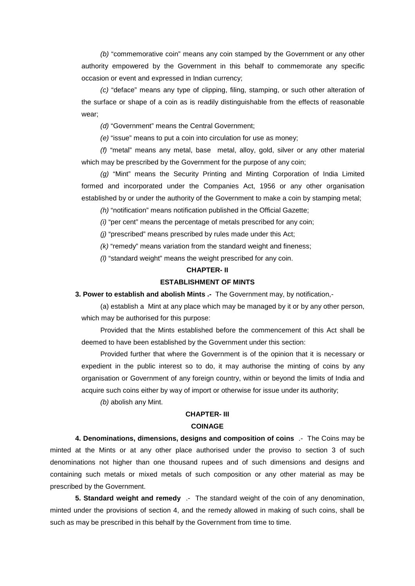*(b)* "commemorative coin" means any coin stamped by the Government or any other authority empowered by the Government in this behalf to commemorate any specific occasion or event and expressed in Indian currency;

*(c)* "deface" means any type of clipping, filing, stamping, or such other alteration of the surface or shape of a coin as is readily distinguishable from the effects of reasonable wear;

*(d)* "Government" means the Central Government;

*(e)* "issue" means to put a coin into circulation for use as money;

*(f)* "metal" means any metal, base metal, alloy, gold, silver or any other material which may be prescribed by the Government for the purpose of any coin;

*(g)* "Mint" means the Security Printing and Minting Corporation of India Limited formed and incorporated under the Companies Act, 1956 or any other organisation established by or under the authority of the Government to make a coin by stamping metal;

*(h)* "notification" means notification published in the Official Gazette;

*(i)* "per cent" means the percentage of metals prescribed for any coin;

*(j)* "prescribed" means prescribed by rules made under this Act;

*(k)* "remedy" means variation from the standard weight and fineness;

*(l)* "standard weight" means the weight prescribed for any coin.

#### **CHAPTER- II**

# **ESTABLISHMENT OF MINTS**

**3. Power to establish and abolish Mints .-** The Government may, by notification,-

(a) establish a Mint at any place which may be managed by it or by any other person, which may be authorised for this purpose:

Provided that the Mints established before the commencement of this Act shall be deemed to have been established by the Government under this section:

Provided further that where the Government is of the opinion that it is necessary or expedient in the public interest so to do, it may authorise the minting of coins by any organisation or Government of any foreign country, within or beyond the limits of India and acquire such coins either by way of import or otherwise for issue under its authority;

*(b)* abolish any Mint.

# **CHAPTER- III COINAGE**

**4. Denominations, dimensions, designs and composition of coins** .- The Coins may be minted at the Mints or at any other place authorised under the proviso to section 3 of such denominations not higher than one thousand rupees and of such dimensions and designs and containing such metals or mixed metals of such composition or any other material as may be prescribed by the Government.

**5. Standard weight and remedy** .- The standard weight of the coin of any denomination, minted under the provisions of section 4, and the remedy allowed in making of such coins, shall be such as may be prescribed in this behalf by the Government from time to time.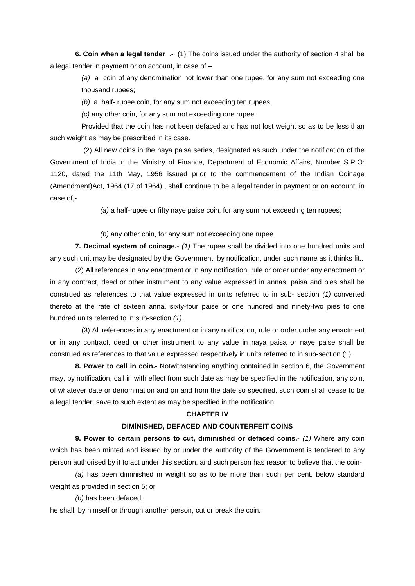**6. Coin when a legal tender** .- (1) The coins issued under the authority of section 4 shall be a legal tender in payment or on account, in case of –

*(a)* a coin of any denomination not lower than one rupee, for any sum not exceeding one thousand rupees;

*(b)* a half- rupee coin, for any sum not exceeding ten rupees;

*(c)* any other coin, for any sum not exceeding one rupee:

Provided that the coin has not been defaced and has not lost weight so as to be less than such weight as may be prescribed in its case.

(2) All new coins in the naya paisa series, designated as such under the notification of the Government of India in the Ministry of Finance, Department of Economic Affairs, Number S.R.O: 1120, dated the 11th May, 1956 issued prior to the commencement of the Indian Coinage (Amendment)Act, 1964 (17 of 1964) , shall continue to be a legal tender in payment or on account, in case of,-

*(a)* a half-rupee or fifty naye paise coin, for any sum not exceeding ten rupees;

*(b)* any other coin, for any sum not exceeding one rupee.

**7. Decimal system of coinage.-** *(1)* The rupee shall be divided into one hundred units and any such unit may be designated by the Government, by notification, under such name as it thinks fit..

(2) All references in any enactment or in any notification, rule or order under any enactment or in any contract, deed or other instrument to any value expressed in annas, paisa and pies shall be construed as references to that value expressed in units referred to in sub- section *(1)* converted thereto at the rate of sixteen anna, sixty-four paise or one hundred and ninety-two pies to one hundred units referred to in sub-section *(1).*

(3) All references in any enactment or in any notification, rule or order under any enactment or in any contract, deed or other instrument to any value in naya paisa or naye paise shall be construed as references to that value expressed respectively in units referred to in sub-section (1).

**8. Power to call in coin.-** Notwithstanding anything contained in section 6, the Government may, by notification, call in with effect from such date as may be specified in the notification, any coin, of whatever date or denomination and on and from the date so specified, such coin shall cease to be a legal tender, save to such extent as may be specified in the notification.

#### **CHAPTER IV**

#### **DIMlNISHED, DEFACED AND COUNTERFEIT COINS**

**9. Power to certain persons to cut, diminished or defaced coins.-** *(1)* Where any coin which has been minted and issued by or under the authority of the Government is tendered to any person authorised by it to act under this section, and such person has reason to believe that the coin-

*(a)* has been diminished in weight so as to be more than such per cent. below standard weight as provided in section 5; or

*(b)* has been defaced,

he shall, by himself or through another person, cut or break the coin.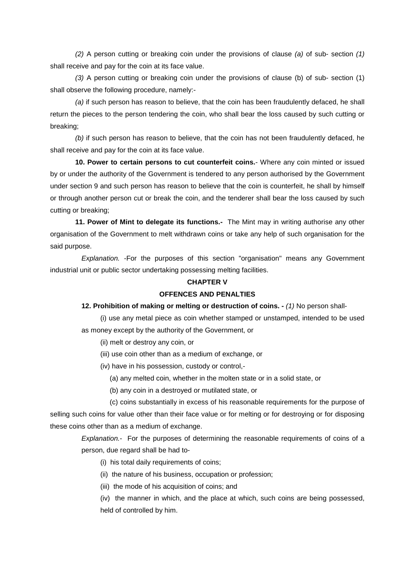*(2)* A person cutting or breaking coin under the provisions of clause *(a)* of sub- section *(1)*  shall receive and pay for the coin at its face value.

*(3)* A person cutting or breaking coin under the provisions of clause (b) of sub- section (1) shall observe the following procedure, namely:-

*(a)* if such person has reason to believe, that the coin has been fraudulently defaced, he shall return the pieces to the person tendering the coin, who shall bear the loss caused by such cutting or breaking;

*(b)* if such person has reason to believe, that the coin has not been fraudulently defaced, he shall receive and pay for the coin at its face value.

**10. Power to certain persons to cut counterfeit coins.**- Where any coin minted or issued by or under the authority of the Government is tendered to any person authorised by the Government under section 9 and such person has reason to believe that the coin is counterfeit, he shall by himself or through another person cut or break the coin, and the tenderer shall bear the loss caused by such cutting or breaking;

**11. Power of Mint to delegate its functions.-** The Mint may in writing authorise any other organisation of the Government to melt withdrawn coins or take any help of such organisation for the said purpose.

*Explanation.* -For the purposes of this section "organisation" means any Government industrial unit or public sector undertaking possessing melting facilities.

# **CHAPTER V**

# **OFFENCES AND PENALTIES**

#### **12. Prohibition of making or melting or destruction of coins. -** *(1)* No person shall-

(i) use any metal piece as coin whether stamped or unstamped, intended to be used as money except by the authority of the Government, or

- (ii) melt or destroy any coin, or
- (iii) use coin other than as a medium of exchange, or
- (iv) have in his possession, custody or control,-
	- (a) any melted coin, whether in the molten state or in a solid state, or
	- (b) any coin in a destroyed or mutilated state, or

(c) coins substantially in excess of his reasonable requirements for the purpose of selling such coins for value other than their face value or for melting or for destroying or for disposing these coins other than as a medium of exchange.

*Explanation.*- For the purposes of determining the reasonable requirements of coins of a person, due regard shall be had to-

- (i) his total daily requirements of coins;
- (ii) the nature of his business, occupation or profession;
- (iii) the mode of his acquisition of coins; and

(iv) the manner in which, and the place at which, such coins are being possessed, held of controlled by him.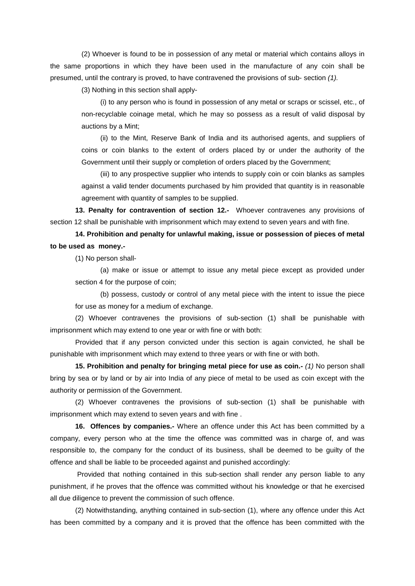(2) Whoever is found to be in possession of any metal or material which contains alloys in the same proportions in which they have been used in the manufacture of any coin shall be presumed, until the contrary is proved, to have contravened the provisions of sub- section *(1).*

(3) Nothing in this section shall apply-

(i) to any person who is found in possession of any metal or scraps or scissel, etc., of non-recyclable coinage metal, which he may so possess as a result of valid disposal by auctions by a Mint;

(ii) to the Mint, Reserve Bank of India and its authorised agents, and suppliers of coins or coin blanks to the extent of orders placed by or under the authority of the Government until their supply or completion of orders placed by the Government;

(iii) to any prospective supplier who intends to supply coin or coin blanks as samples against a valid tender documents purchased by him provided that quantity is in reasonable agreement with quantity of samples to be supplied.

**13. Penalty for contravention of section 12.-** Whoever contravenes any provisions of section 12 shall be punishable with imprisonment which may extend to seven years and with fine.

**14. Prohibition and penalty for unlawful making, issue or possession of pieces of metal to be used as money.-**

(1) No person shall-

(a) make or issue or attempt to issue any metal piece except as provided under section 4 for the purpose of coin;

(b) possess, custody or control of any metal piece with the intent to issue the piece for use as money for a medium of exchange.

(2) Whoever contravenes the provisions of sub-section (1) shall be punishable with imprisonment which may extend to one year or with fine or with both:

Provided that if any person convicted under this section is again convicted, he shall be punishable with imprisonment which may extend to three years or with fine or with both.

**15. Prohibition and penalty for bringing metal piece for use as coin.-** *(1)* No person shall bring by sea or by land or by air into India of any piece of metal to be used as coin except with the authority or permission of the Government.

(2) Whoever contravenes the provisions of sub-section (1) shall be punishable with imprisonment which may extend to seven years and with fine .

**16. Offences by companies.-** Where an offence under this Act has been committed by a company, every person who at the time the offence was committed was in charge of, and was responsible to, the company for the conduct of its business, shall be deemed to be guilty of the offence and shall be liable to be proceeded against and punished accordingly:

Provided that nothing contained in this sub-section shall render any person liable to any punishment, if he proves that the offence was committed without his knowledge or that he exercised all due diligence to prevent the commission of such offence.

(2) Notwithstanding, anything contained in sub-section (1), where any offence under this Act has been committed by a company and it is proved that the offence has been committed with the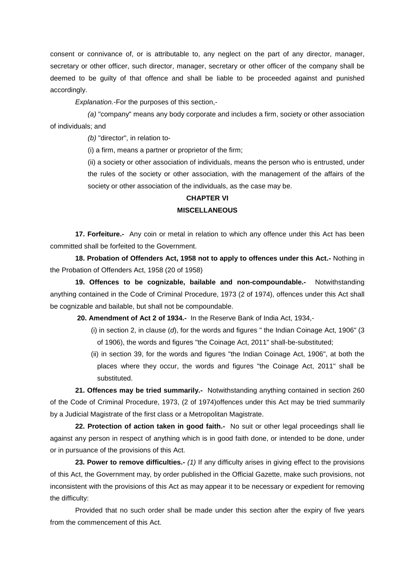consent or connivance of, or is attributable to, any neglect on the part of any director, manager, secretary or other officer, such director, manager, secretary or other officer of the company shall be deemed to be guilty of that offence and shall be liable to be proceeded against and punished accordingly.

*Explanation.*-For the purposes of this section,-

*(a)* "company" means any body corporate and includes a firm, society or other association of individuals; and

*(b)* "director", in relation to-

(i) a firm, means a partner or proprietor of the firm;

(ii) a society or other association of individuals, means the person who is entrusted, under the rules of the society or other association, with the management of the affairs of the society or other association of the individuals, as the case may be.

## **CHAPTER VI**

### **MISCELLANEOUS**

**17. Forfeiture.-** Any coin or metal in relation to which any offence under this Act has been committed shall be forfeited to the Government.

**18. Probation of Offenders Act, 1958 not to apply to offences under this Act.-** Nothing in the Probation of Offenders Act, 1958 (20 of 1958)

**19. Offences to be cognizable, bailable and non-compoundable.-** Notwithstanding anything contained in the Code of Criminal Procedure, 1973 (2 of 1974), offences under this Act shall be cognizable and bailable, but shall not be compoundable.

**20. Amendment of Act 2 of 1934.-** In the Reserve Bank of India Act, 1934,-

- (i) in section 2, in clause (*d*), for the words and figures " the Indian Coinage Act, 1906" (3 of 1906), the words and figures "the Coinage Act, 2011" shall-be-substituted;
- (ii) in section 39, for the words and figures "the Indian Coinage Act, 1906", at both the places where they occur, the words and figures "the Coinage Act, 2011" shall be substituted.

**21. Offences may be tried summarily.-** Notwithstanding anything contained in section 260 of the Code of Criminal Procedure, 1973, (2 of 1974)offences under this Act may be tried summarily by a Judicial Magistrate of the first class or a Metropolitan Magistrate.

**22. Protection of action taken in good faith.-** No suit or other legal proceedings shall lie against any person in respect of anything which is in good faith done, or intended to be done, under or in pursuance of the provisions of this Act.

**23. Power to remove difficulties.-** *(1)* If any difficulty arises in giving effect to the provisions of this Act, the Government may, by order published in the Official Gazette, make such provisions, not inconsistent with the provisions of this Act as may appear it to be necessary or expedient for removing the difficulty:

Provided that no such order shall be made under this section after the expiry of five years from the commencement of this Act.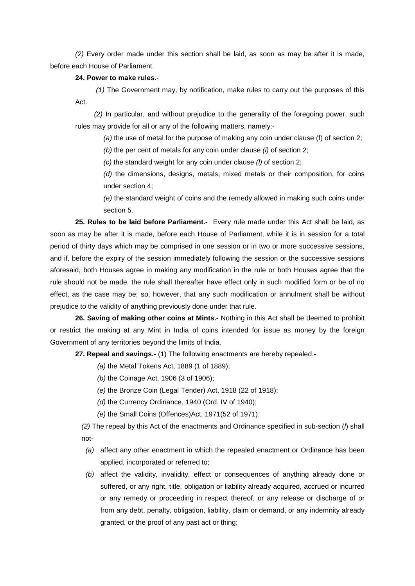*(2)* Every order made under this section shall be laid, as soon as may be after it is made, before each House of Parliament.

#### **24. Power to make rules.**-

*(1)* The Government may, by notification, make rules to carry out the purposes of this Act.

*(2)* In particular, and without prejudice to the generality of the foregoing power, such rules may provide for all or any of the following matters, namely:-

*(a)* the use of metal for the purpose of making any coin under clause (f) of section 2;

*(b)* the per cent of metals for any coin under clause *(i)* of section 2;

*(c)* the standard weight for any coin under clause *(l)* of section 2;

*(d)* the dimensions, designs, metals, mixed metals or their composition, for coins under section 4;

*(e)* the standard weight of coins and the remedy allowed in making such coins under section 5.

**25. Rules to be laid before Parliament.-** Every rule made under this Act shall be laid, as soon as may be after it is made, before each House of Parliament, while it is in session for a total period of thirty days which may be comprised in one session or in two or more successive sessions, and if, before the expiry of the session immediately following the session or the successive sessions aforesaid, both Houses agree in making any modification in the rule or both Houses agree that the rule should not be made, the rule shall thereafter have effect only in such modified form or be of no effect, as the case may be; so, however, that any such modification or annulment shall be without prejudice to the validity of anything previously done under that rule.

**26. Saving of making other coins at Mints.-** Nothing in this Act shall be deemed to prohibit or restrict the making at any Mint in India of coins intended for issue as money by the foreign Government of any territories beyond the limits of India.

**27. Repeal and savings.-** (1) The following enactments are hereby repealed.-

*(a)* the Metal Tokens Act, 1889 (1 of 1889);

- *(b)* the Coinage Act, 1906 (3 of 1906);
- *(e)* the Bronze Coin (Legal Tender) Act, 1918 (22 of 1918);
- *(d)* the Currency Ordinance, 1940 (Ord. IV of 1940);
- *(e)* the Small Coins (Offences)Act, 1971(52 of 1971).

*(2)* The repeal by this Act of the enactments and Ordinance specified in sub-section (*l*) shall not-

- *(a)* affect any other enactment in which the repealed enactment or Ordinance has been applied, incorporated or referred to;
- *(b)* affect the validity, invalidity, effect or consequences of anything already done or suffered, or any right, title, obligation or liability already acquired, accrued or incurred or any remedy or proceeding in respect thereof, or any release or discharge of or from any debt, penalty, obligation, liability, claim or demand, or any indemnity already granted, or the proof of any past act or thing;